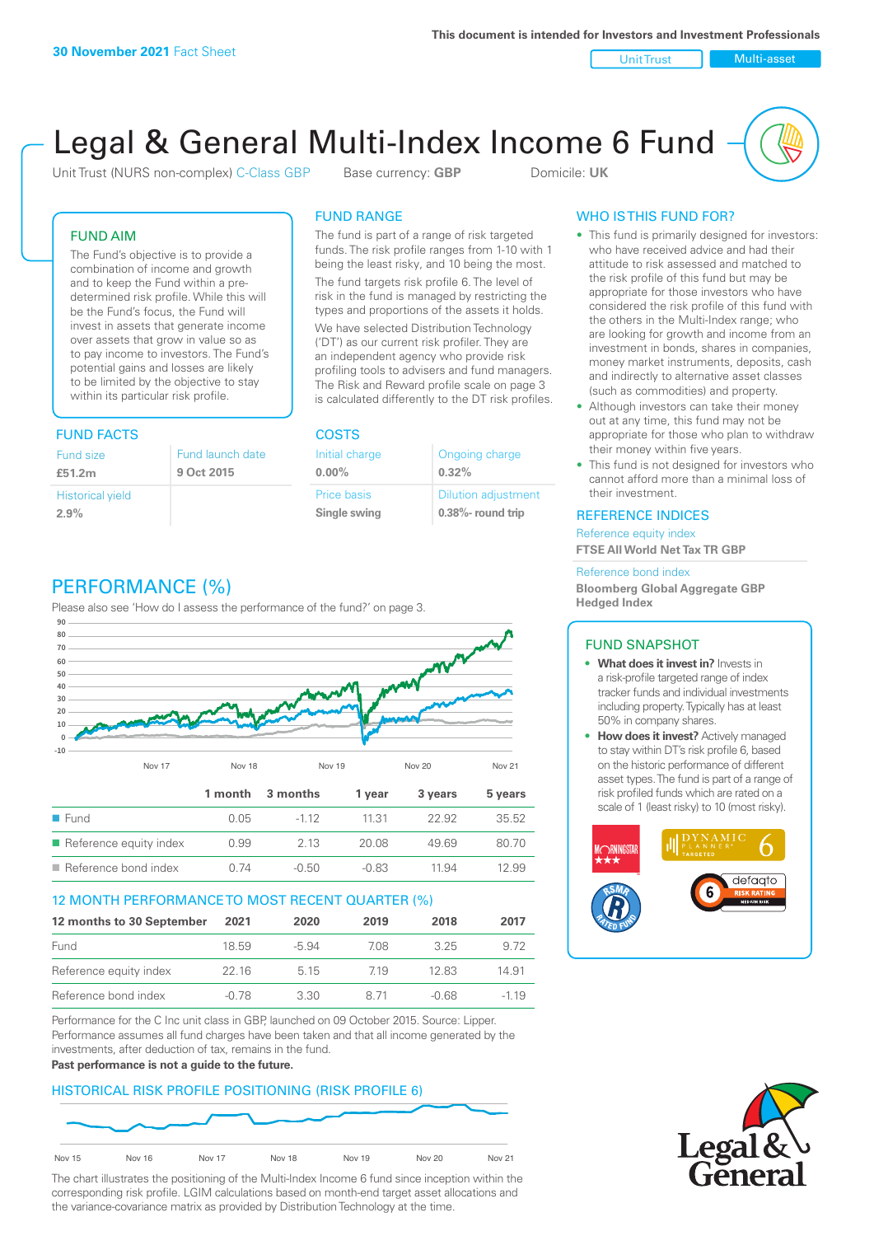Unit Trust Nulti-asset

# Legal & General Multi-Index Income 6 Fund

Unit Trust (NURS non-complex) C-Class GBP Base currency: **GBP** Domicile: UK

### FUND AIM

The Fund's objective is to provide a combination of income and growth and to keep the Fund within a predetermined risk profile. While this will be the Fund's focus, the Fund will invest in assets that generate income over assets that grow in value so as to pay income to investors. The Fund's potential gains and losses are likely to be limited by the objective to stay within its particular risk profile.

### FUND FACTS COSTS

| Fund size<br>£51.2m     | Fund launch date<br>9 Oct 2015 |
|-------------------------|--------------------------------|
| <b>Historical yield</b> |                                |
| 2.9%                    |                                |

### FUND RANGE

The fund is part of a range of risk targeted funds. The risk profile ranges from 1-10 with 1 being the least risky, and 10 being the most.

The fund targets risk profile 6. The level of risk in the fund is managed by restricting the types and proportions of the assets it holds. We have selected Distribution Technology ('DT') as our current risk profiler. They are an independent agency who provide risk profiling tools to advisers and fund managers. The Risk and Reward profile scale on page 3 is calculated differently to the DT risk profiles.

**0.00%**

| Initial charge     | Ongoing charge             |
|--------------------|----------------------------|
| $0.00\%$           | 0.32%                      |
| <b>Price basis</b> | <b>Dilution adjustment</b> |
| Single swing       | 0.38%- round trip          |

### WHO IS THIS FUND FOR?

- This fund is primarily designed for investors: who have received advice and had their attitude to risk assessed and matched to the risk profile of this fund but may be appropriate for those investors who have considered the risk profile of this fund with the others in the Multi-Index range; who are looking for growth and income from an investment in bonds, shares in companies, money market instruments, deposits, cash and indirectly to alternative asset classes (such as commodities) and property.
- Although investors can take their money out at any time, this fund may not be appropriate for those who plan to withdraw their money within five years.
- This fund is not designed for investors who cannot afford more than a minimal loss of their investment.

### REFERENCE INDICES

Reference equity index **FTSE All World Net Tax TR GBP**

#### Reference bond index

**Bloomberg Global Aggregate GBP Hedged Index**

### FUND SNAPSHOT

- **• What does it invest in?** Invests in a risk-profile targeted range of index tracker funds and individual investments including property. Typically has at least 50% in company shares.
- **• How does it invest?** Actively managed to stay within DT's risk profile 6, based on the historic performance of different asset types. The fund is part of a range of risk profiled funds which are rated on a scale of 1 (least risky) to 10 (most risky).





### PERFORMANCE (%)

Please also see 'How do I assess the performance of the fund?' on page 3.



### 12 MONTH PERFORMANCE TO MOST RECENT QUARTER (%)

| 12 months to 30 September | 2021  | 2020  | 2019 | 2018  | 2017   |
|---------------------------|-------|-------|------|-------|--------|
| Fund                      | 18.59 | -5.94 | 708  | 325   | 9.72   |
| Reference equity index    | 22 16 | 5 1 5 | 719  | 12.83 | 14.91  |
| Reference bond index      | -0.78 | 3.30  | 8.71 | -0.68 | $-119$ |

Performance for the C Inc unit class in GBP, launched on 09 October 2015. Source: Lipper. Performance assumes all fund charges have been taken and that all income generated by the investments, after deduction of tax, remains in the fund.

#### **Past performance is not a guide to the future.**

### HISTORICAL RISK PROFILE POSITIONING (RISK PROFILE 6)



The chart illustrates the positioning of the Multi-Index Income 6 fund since inception within the corresponding risk profile. LGIM calculations based on month-end target asset allocations and the variance-covariance matrix as provided by Distribution Technology at the time.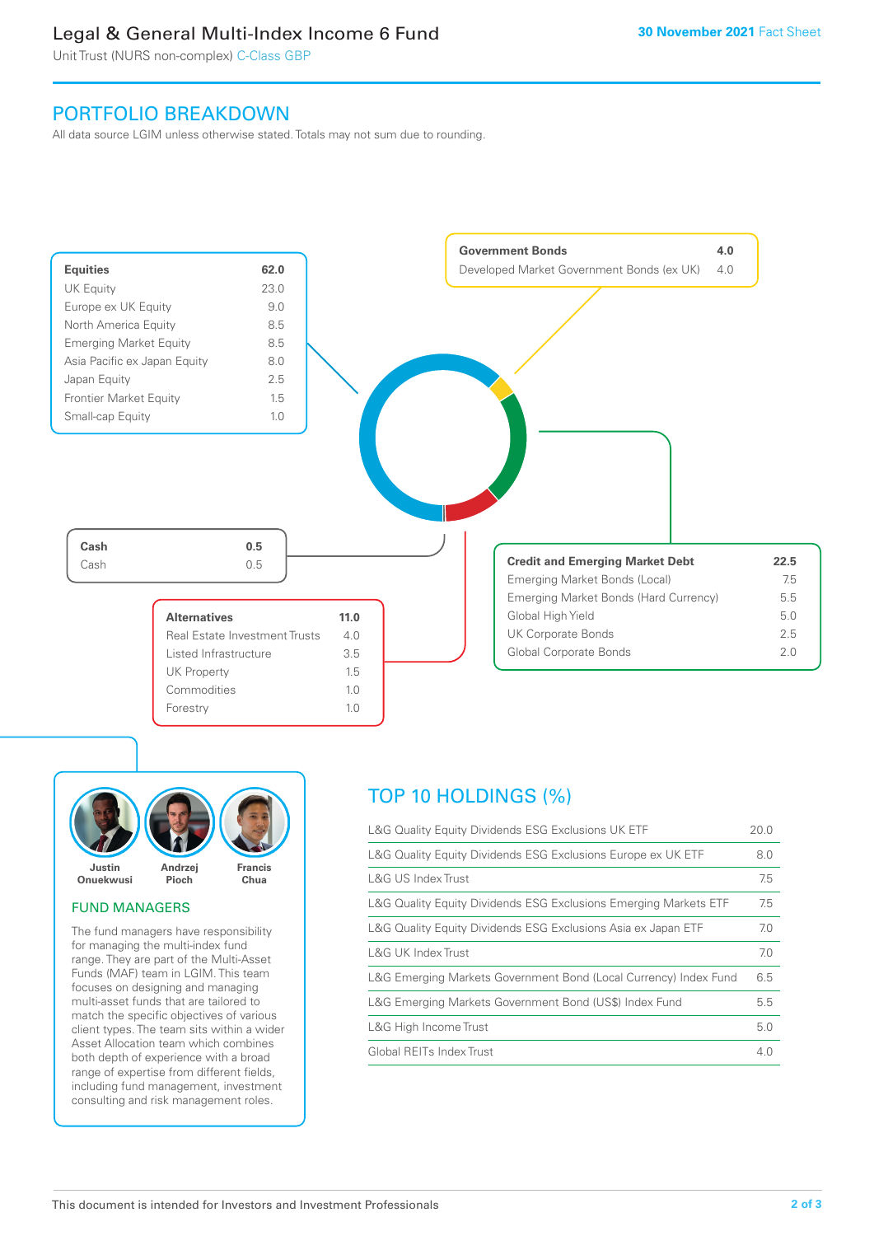### Legal & General Multi-Index Income 6 Fund

Unit Trust (NURS non-complex) C-Class GBP

### PORTFOLIO BREAKDOWN

All data source LGIM unless otherwise stated. Totals may not sum due to rounding.





### FUND MANAGERS

The fund managers have responsibility for managing the multi-index fund range. They are part of the Multi-Asset Funds (MAF) team in LGIM. This team focuses on designing and managing multi-asset funds that are tailored to match the specific objectives of various client types. The team sits within a wider Asset Allocation team which combines both depth of experience with a broad range of expertise from different fields, including fund management, investment consulting and risk management roles.

### TOP 10 HOLDINGS (%)

| L&G Quality Equity Dividends ESG Exclusions UK ETF               | 20.0 |
|------------------------------------------------------------------|------|
| L&G Quality Equity Dividends ESG Exclusions Europe ex UK ETF     | 8.0  |
| L&G US Index Trust                                               | 7.5  |
| L&G Quality Equity Dividends ESG Exclusions Emerging Markets ETF | 7.5  |
| L&G Quality Equity Dividends ESG Exclusions Asia ex Japan ETF    | 7.0  |
| L&G UK Index Trust                                               | 7.0  |
| L&G Emerging Markets Government Bond (Local Currency) Index Fund | 6.5  |
| L&G Emerging Markets Government Bond (US\$) Index Fund           | 5.5  |
| L&G High Income Trust                                            | 5.0  |
| Global REITs Index Trust                                         | 4.0  |